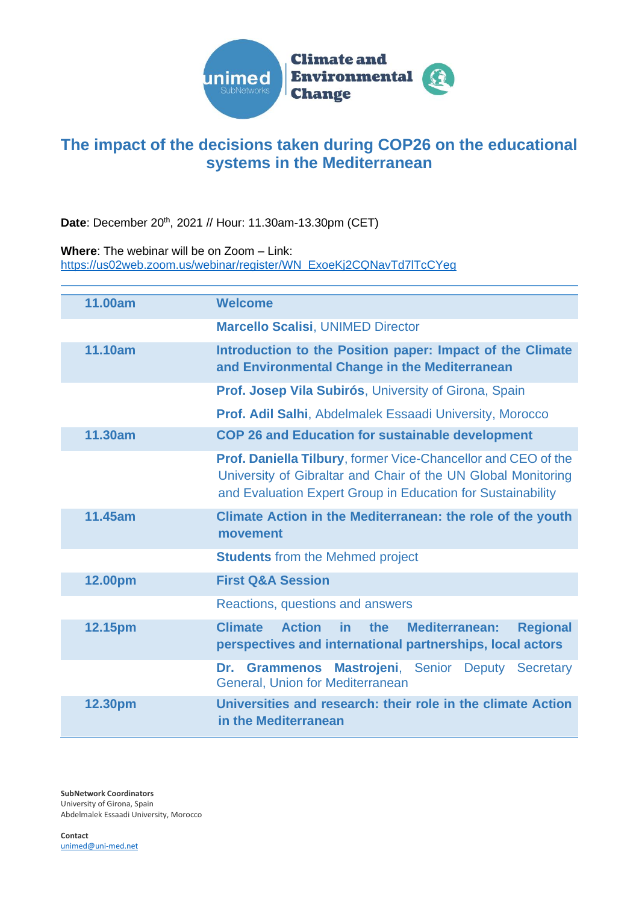

## **The impact of the decisions taken during COP26 on the educational systems in the Mediterranean**

Date: December 20<sup>th</sup>, 2021 // Hour: 11.30am-13.30pm (CET)

**Where**: The webinar will be on Zoom – Link:

[https://us02web.zoom.us/webinar/register/WN\\_ExoeKj2CQNavTd7lTcCYeg](https://us02web.zoom.us/webinar/register/WN_ExoeKj2CQNavTd7lTcCYeg)

| 11.00am | <b>Welcome</b>                                                                                                                                                                                       |
|---------|------------------------------------------------------------------------------------------------------------------------------------------------------------------------------------------------------|
|         | <b>Marcello Scalisi, UNIMED Director</b>                                                                                                                                                             |
| 11.10am | Introduction to the Position paper: Impact of the Climate<br>and Environmental Change in the Mediterranean                                                                                           |
|         | Prof. Josep Vila Subirós, University of Girona, Spain                                                                                                                                                |
|         | <b>Prof. Adil Salhi</b> , Abdelmalek Essaadi University, Morocco                                                                                                                                     |
| 11.30am | <b>COP 26 and Education for sustainable development</b>                                                                                                                                              |
|         | <b>Prof. Daniella Tilbury, former Vice-Chancellor and CEO of the</b><br>University of Gibraltar and Chair of the UN Global Monitoring<br>and Evaluation Expert Group in Education for Sustainability |
| 11.45am | Climate Action in the Mediterranean: the role of the youth<br>movement                                                                                                                               |
|         | <b>Students</b> from the Mehmed project                                                                                                                                                              |
| 12.00pm | <b>First Q&amp;A Session</b>                                                                                                                                                                         |
|         | Reactions, questions and answers                                                                                                                                                                     |
| 12.15pm | <b>Action</b><br><b>Climate</b><br>the<br><b>Mediterranean:</b><br><b>Regional</b><br><u>in</u><br>perspectives and international partnerships, local actors                                         |
|         | Grammenos Mastrojeni, Senior Deputy Secretary<br>Dr.<br><b>General, Union for Mediterranean</b>                                                                                                      |
| 12.30pm | Universities and research: their role in the climate Action<br>in the Mediterranean                                                                                                                  |

**SubNetwork Coordinators** University of Girona, Spain Abdelmalek Essaadi University, Morocco

**Contact** [unimed@uni-med.net](mailto:unimed@uni-med.net)